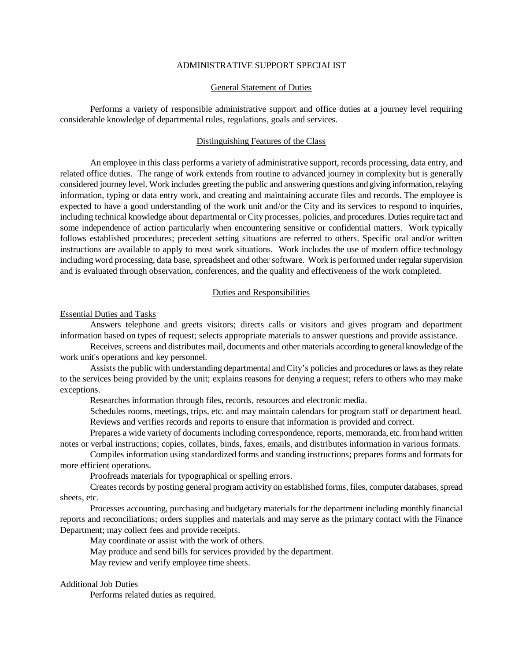### ADMINISTRATIVE SUPPORT SPECIALIST

## General Statement of Duties

Performs a variety of responsible administrative support and office duties at a journey level requiring considerable knowledge of departmental rules, regulations, goals and services.

## Distinguishing Features of the Class

An employee in this class performs a variety of administrative support, records processing, data entry, and related office duties. The range of work extends from routine to advanced journey in complexity but is generally considered journey level. Work includes greeting the public and answering questions and giving information, relaying information, typing or data entry work, and creating and maintaining accurate files and records. The employee is expected to have a good understanding of the work unit and/or the City and its services to respond to inquiries, including technical knowledge about departmental or City processes, policies, and procedures. Duties require tact and some independence of action particularly when encountering sensitive or confidential matters. Work typically follows established procedures; precedent setting situations are referred to others. Specific oral and/or written instructions are available to apply to most work situations. Work includes the use of modern office technology including word processing, data base, spreadsheet and other software. Work is performed under regular supervision and is evaluated through observation, conferences, and the quality and effectiveness of the work completed.

### Duties and Responsibilities

#### Essential Duties and Tasks

Answers telephone and greets visitors; directs calls or visitors and gives program and department information based on types of request; selects appropriate materials to answer questions and provide assistance.

Receives, screens and distributes mail, documents and other materials according to general knowledge of the work unit's operations and key personnel.

Assists the public with understanding departmental and City's policies and procedures or laws as they relate to the services being provided by the unit; explains reasons for denying a request; refers to others who may make exceptions.

Researches information through files, records, resources and electronic media.

Schedules rooms, meetings, trips, etc. and may maintain calendars for program staff or department head. Reviews and verifies records and reports to ensure that information is provided and correct.

Prepares a wide variety of documents including correspondence, reports, memoranda, etc. from hand written notes or verbal instructions; copies, collates, binds, faxes, emails, and distributes information in various formats.

Compiles information using standardized forms and standing instructions; prepares forms and formats for more efficient operations.

Proofreads materials for typographical or spelling errors.

Creates records by posting general program activity on established forms, files, computer databases, spread sheets, etc.

Processes accounting, purchasing and budgetary materials for the department including monthly financial reports and reconciliations; orders supplies and materials and may serve as the primary contact with the Finance Department; may collect fees and provide receipts.

May coordinate or assist with the work of others.

May produce and send bills for services provided by the department.

May review and verify employee time sheets.

### Additional Job Duties

Performs related duties as required.